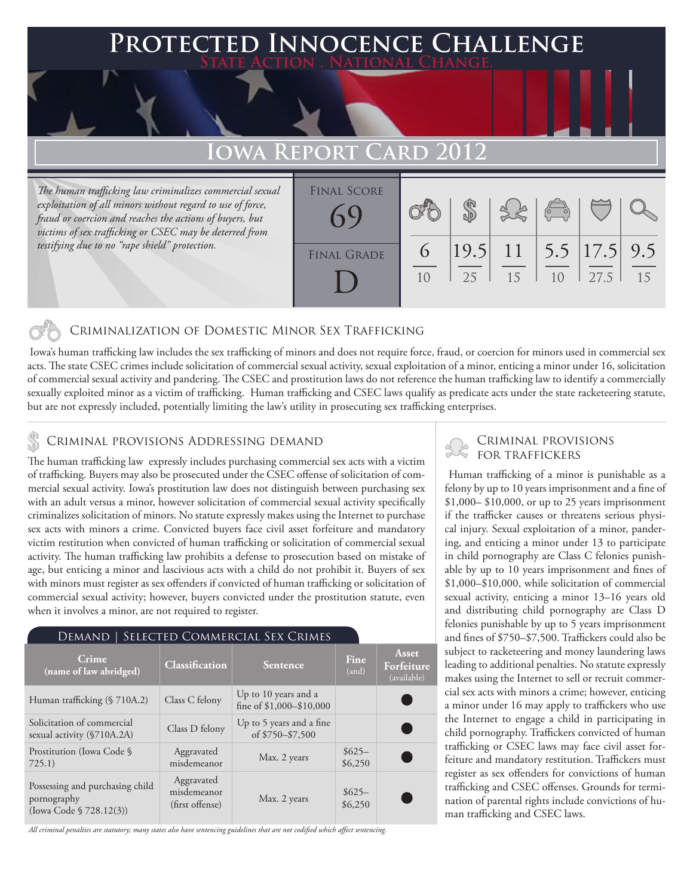# **Protected Innocence Challenge State Action . National Change.**

## **Iowa Report Card 2012**

*The human trafficking law criminalizes commercial sexual exploitation of all minors without regard to use of force, fraud or coercion and reaches the actions of buyers, but victims of sex trafficking or CSEC may be deterred from testifying due to no "rape shield" protection.*

| <b>FINAL SCORE</b><br>(50) |          |    |                                  | $\sqrt{\frac{1}{10}}$ |      |           |
|----------------------------|----------|----|----------------------------------|-----------------------|------|-----------|
| <b>FINAL GRADE</b>         | $\sigma$ | 25 | $ 19.5 $ 11   5.5   17.5  <br>15 | 1 <sub>0</sub>        | 27.5 | 9.5<br>15 |

### Criminalization of Domestic Minor Sex Trafficking

 Iowa's human trafficking law includes the sex trafficking of minors and does not require force, fraud, or coercion for minors used in commercial sex acts. The state CSEC crimes include solicitation of commercial sexual activity, sexual exploitation of a minor, enticing a minor under 16, solicitation of commercial sexual activity and pandering. The CSEC and prostitution laws do not reference the human trafficking law to identify a commercially sexually exploited minor as a victim of trafficking. Human trafficking and CSEC laws qualify as predicate acts under the state racketeering statute, but are not expressly included, potentially limiting the law's utility in prosecuting sex trafficking enterprises.

## CRIMINAL PROVISIONS ADDRESSING DEMAND<br>The human trafficking law arresely includes purchasing commercial cay acts with a victime STOR TRAFFICKERS

The human trafficking law expressly includes purchasing commercial sex acts with a victim of trafficking. Buyers may also be prosecuted under the CSEC offense of solicitation of commercial sexual activity. Iowa's prostitution law does not distinguish between purchasing sex with an adult versus a minor, however solicitation of commercial sexual activity specifically criminalizes solicitation of minors. No statute expressly makes using the Internet to purchase sex acts with minors a crime. Convicted buyers face civil asset forfeiture and mandatory victim restitution when convicted of human trafficking or solicitation of commercial sexual activity. The human trafficking law prohibits a defense to prosecution based on mistake of age, but enticing a minor and lascivious acts with a child do not prohibit it. Buyers of sex with minors must register as sex offenders if convicted of human trafficking or solicitation of commercial sexual activity; however, buyers convicted under the prostitution statute, even when it involves a minor, are not required to register.

### Demand | Selected Commercial Sex Crimes **Crime Crime Crime Crime Classification Sentence Fine Find Find** (and) **Asset Forfeiture**  (available) Human trafficking (§ 710A.2) Class C felony Up to 10 years and a fine of \$1,000–\$10,000 Solicitation of commercial Solicitation of commercial<br>sexual activity (\$710A.2A) Class D felony Up to 5 years and a fine<br>of \$750–\$7,500 of \$750–\$7,500 Prostitution (Iowa Code § 725.1) Aggravated Aggravated Max. 2 years \$625–<br>misdemeanor Max. 2 years \$6,250 \$6,250 Possessing and purchasing child pornography (Iowa Code § 728.12(3)) Aggravated misdemeanor misdemeanor<br>
(first offense) Max. 2 years \$625–<br>
\$6,250 \$6,250

*All criminal penalties are statutory; many states also have sentencing guidelines that are not codified which affect sentencing.* 

 Human trafficking of a minor is punishable as a felony by up to 10 years imprisonment and a fine of \$1,000– \$10,000, or up to 25 years imprisonment if the trafficker causes or threatens serious physical injury. Sexual exploitation of a minor, pandering, and enticing a minor under 13 to participate in child pornography are Class C felonies punishable by up to 10 years imprisonment and fines of \$1,000–\$10,000, while solicitation of commercial sexual activity, enticing a minor 13–16 years old and distributing child pornography are Class D felonies punishable by up to 5 years imprisonment and fines of \$750–\$7,500. Traffickers could also be subject to racketeering and money laundering laws leading to additional penalties. No statute expressly makes using the Internet to sell or recruit commercial sex acts with minors a crime; however, enticing a minor under 16 may apply to traffickers who use the Internet to engage a child in participating in child pornography. Traffickers convicted of human trafficking or CSEC laws may face civil asset forfeiture and mandatory restitution. Traffickers must register as sex offenders for convictions of human trafficking and CSEC offenses. Grounds for termination of parental rights include convictions of human trafficking and CSEC laws.